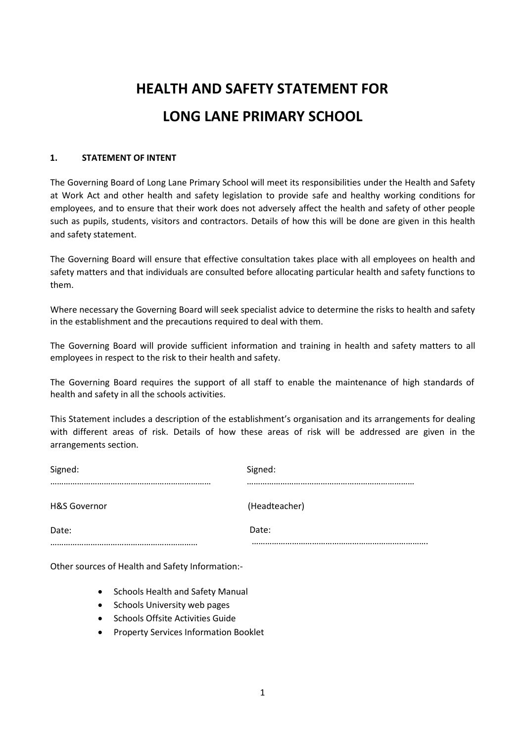# **HEALTH AND SAFETY STATEMENT FOR LONG LANE PRIMARY SCHOOL**

## **1. STATEMENT OF INTENT**

The Governing Board of Long Lane Primary School will meet its responsibilities under the Health and Safety at Work Act and other health and safety legislation to provide safe and healthy working conditions for employees, and to ensure that their work does not adversely affect the health and safety of other people such as pupils, students, visitors and contractors. Details of how this will be done are given in this health and safety statement.

The Governing Board will ensure that effective consultation takes place with all employees on health and safety matters and that individuals are consulted before allocating particular health and safety functions to them.

Where necessary the Governing Board will seek specialist advice to determine the risks to health and safety in the establishment and the precautions required to deal with them.

The Governing Board will provide sufficient information and training in health and safety matters to all employees in respect to the risk to their health and safety.

The Governing Board requires the support of all staff to enable the maintenance of high standards of health and safety in all the schools activities.

This Statement includes a description of the establishment's organisation and its arrangements for dealing with different areas of risk. Details of how these areas of risk will be addressed are given in the arrangements section.

| Signed:                 | Signed:       |
|-------------------------|---------------|
| <b>H&amp;S Governor</b> | (Headteacher) |
| Date:                   | Date:         |
|                         |               |

Other sources of Health and Safety Information:-

- Schools Health and Safety Manual
- Schools University web pages
- Schools Offsite Activities Guide
- Property Services Information Booklet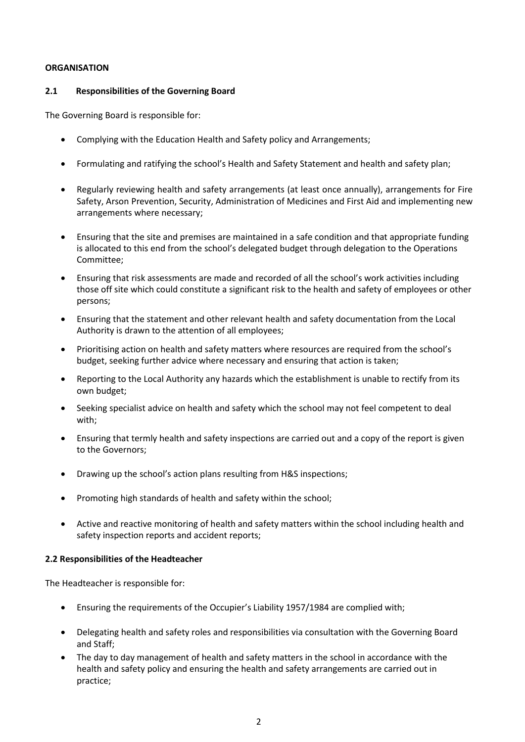#### **ORGANISATION**

## **2.1 Responsibilities of the Governing Board**

The Governing Board is responsible for:

- Complying with the Education Health and Safety policy and Arrangements;
- Formulating and ratifying the school's Health and Safety Statement and health and safety plan;
- Regularly reviewing health and safety arrangements (at least once annually), arrangements for Fire Safety, Arson Prevention, Security, Administration of Medicines and First Aid and implementing new arrangements where necessary;
- Ensuring that the site and premises are maintained in a safe condition and that appropriate funding is allocated to this end from the school's delegated budget through delegation to the Operations Committee;
- Ensuring that risk assessments are made and recorded of all the school's work activities including those off site which could constitute a significant risk to the health and safety of employees or other persons;
- Ensuring that the statement and other relevant health and safety documentation from the Local Authority is drawn to the attention of all employees;
- Prioritising action on health and safety matters where resources are required from the school's budget, seeking further advice where necessary and ensuring that action is taken;
- Reporting to the Local Authority any hazards which the establishment is unable to rectify from its own budget;
- Seeking specialist advice on health and safety which the school may not feel competent to deal with;
- Ensuring that termly health and safety inspections are carried out and a copy of the report is given to the Governors;
- Drawing up the school's action plans resulting from H&S inspections;
- Promoting high standards of health and safety within the school;
- Active and reactive monitoring of health and safety matters within the school including health and safety inspection reports and accident reports;

## **2.2 Responsibilities of the Headteacher**

The Headteacher is responsible for:

- Ensuring the requirements of the Occupier's Liability 1957/1984 are complied with;
- Delegating health and safety roles and responsibilities via consultation with the Governing Board and Staff;
- The day to day management of health and safety matters in the school in accordance with the health and safety policy and ensuring the health and safety arrangements are carried out in practice;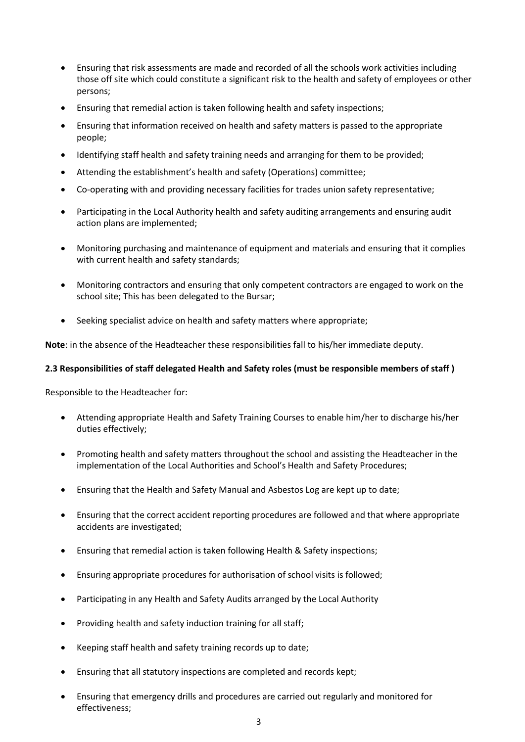- Ensuring that risk assessments are made and recorded of all the schools work activities including those off site which could constitute a significant risk to the health and safety of employees or other persons;
- Ensuring that remedial action is taken following health and safety inspections;
- Ensuring that information received on health and safety matters is passed to the appropriate people;
- Identifying staff health and safety training needs and arranging for them to be provided;
- Attending the establishment's health and safety (Operations) committee;
- Co-operating with and providing necessary facilities for trades union safety representative;
- Participating in the Local Authority health and safety auditing arrangements and ensuring audit action plans are implemented;
- Monitoring purchasing and maintenance of equipment and materials and ensuring that it complies with current health and safety standards;
- Monitoring contractors and ensuring that only competent contractors are engaged to work on the school site; This has been delegated to the Bursar;
- Seeking specialist advice on health and safety matters where appropriate;

**Note**: in the absence of the Headteacher these responsibilities fall to his/her immediate deputy.

## **2.3 Responsibilities of staff delegated Health and Safety roles (must be responsible members of staff )**

Responsible to the Headteacher for:

- Attending appropriate Health and Safety Training Courses to enable him/her to discharge his/her duties effectively;
- Promoting health and safety matters throughout the school and assisting the Headteacher in the implementation of the Local Authorities and School's Health and Safety Procedures;
- Ensuring that the Health and Safety Manual and Asbestos Log are kept up to date;
- Ensuring that the correct accident reporting procedures are followed and that where appropriate accidents are investigated;
- Ensuring that remedial action is taken following Health & Safety inspections;
- Ensuring appropriate procedures for authorisation of school visits is followed;
- Participating in any Health and Safety Audits arranged by the Local Authority
- Providing health and safety induction training for all staff;
- Keeping staff health and safety training records up to date;
- Ensuring that all statutory inspections are completed and records kept;
- Ensuring that emergency drills and procedures are carried out regularly and monitored for effectiveness;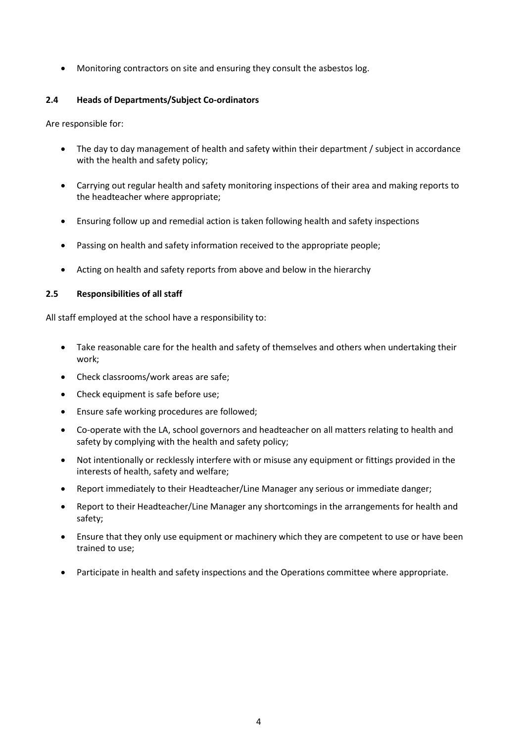Monitoring contractors on site and ensuring they consult the asbestos log.

## **2.4 Heads of Departments/Subject Co-ordinators**

Are responsible for:

- The day to day management of health and safety within their department / subject in accordance with the health and safety policy;
- Carrying out regular health and safety monitoring inspections of their area and making reports to the headteacher where appropriate;
- Ensuring follow up and remedial action is taken following health and safety inspections
- Passing on health and safety information received to the appropriate people;
- Acting on health and safety reports from above and below in the hierarchy

## **2.5 Responsibilities of all staff**

All staff employed at the school have a responsibility to:

- Take reasonable care for the health and safety of themselves and others when undertaking their work;
- Check classrooms/work areas are safe;
- Check equipment is safe before use;
- Ensure safe working procedures are followed;
- Co-operate with the LA, school governors and headteacher on all matters relating to health and safety by complying with the health and safety policy;
- Not intentionally or recklessly interfere with or misuse any equipment or fittings provided in the interests of health, safety and welfare;
- Report immediately to their Headteacher/Line Manager any serious or immediate danger;
- Report to their Headteacher/Line Manager any shortcomings in the arrangements for health and safety;
- Ensure that they only use equipment or machinery which they are competent to use or have been trained to use;
- Participate in health and safety inspections and the Operations committee where appropriate.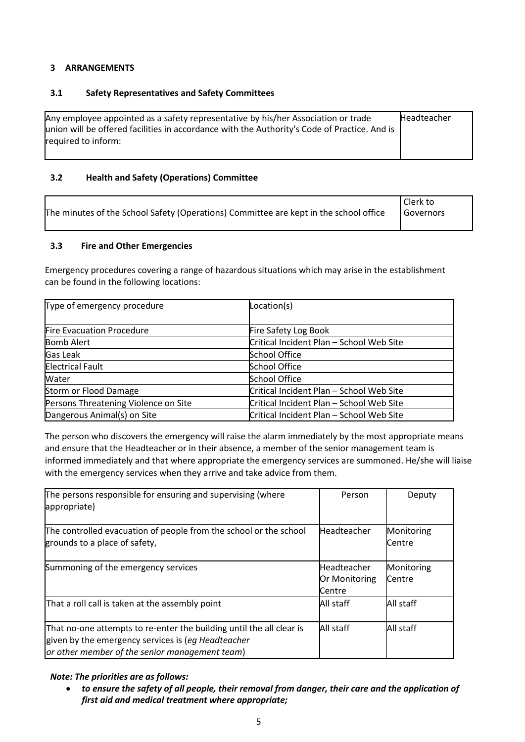## **3 ARRANGEMENTS**

## **3.1 Safety Representatives and Safety Committees**

| Any employee appointed as a safety representative by his/her Association or trade<br>union will be offered facilities in accordance with the Authority's Code of Practice. And is | Headteacher |
|-----------------------------------------------------------------------------------------------------------------------------------------------------------------------------------|-------------|
| reauired to inform:                                                                                                                                                               |             |

# **3.2 Health and Safety (Operations) Committee**

| The minutes of the School Safety (Operations) Committee are kept in the school office | Clerk to<br><b>Governors</b> |
|---------------------------------------------------------------------------------------|------------------------------|
|---------------------------------------------------------------------------------------|------------------------------|

## **3.3 Fire and Other Emergencies**

Emergency procedures covering a range of hazardous situations which may arise in the establishment can be found in the following locations:

| Type of emergency procedure          | Location(s)                              |
|--------------------------------------|------------------------------------------|
|                                      |                                          |
| Fire Evacuation Procedure            | Fire Safety Log Book                     |
| <b>Bomb Alert</b>                    | Critical Incident Plan - School Web Site |
| Gas Leak                             | <b>School Office</b>                     |
| <b>Electrical Fault</b>              | <b>School Office</b>                     |
| Water                                | <b>School Office</b>                     |
| Storm or Flood Damage                | Critical Incident Plan - School Web Site |
| Persons Threatening Violence on Site | Critical Incident Plan - School Web Site |
| Dangerous Animal(s) on Site          | Critical Incident Plan - School Web Site |

The person who discovers the emergency will raise the alarm immediately by the most appropriate means and ensure that the Headteacher or in their absence, a member of the senior management team is informed immediately and that where appropriate the emergency services are summoned. He/she will liaise with the emergency services when they arrive and take advice from them.

| The persons responsible for ensuring and supervising (where<br>appropriate)                                                                                                  | Person                                 | Deputy               |
|------------------------------------------------------------------------------------------------------------------------------------------------------------------------------|----------------------------------------|----------------------|
| The controlled evacuation of people from the school or the school<br>grounds to a place of safety,                                                                           | Headteacher                            | Monitoring<br>Centre |
| Summoning of the emergency services                                                                                                                                          | Headteacher<br>Or Monitoring<br>Centre | Monitoring<br>Centre |
| That a roll call is taken at the assembly point                                                                                                                              | All staff                              | All staff            |
| That no-one attempts to re-enter the building until the all clear is<br>given by the emergency services is (eg Headteacher<br>or other member of the senior management team) | All staff                              | All staff            |

## *Note: The priorities are as follows:*

 *to ensure the safety of all people, their removal from danger, their care and the application of first aid and medical treatment where appropriate;*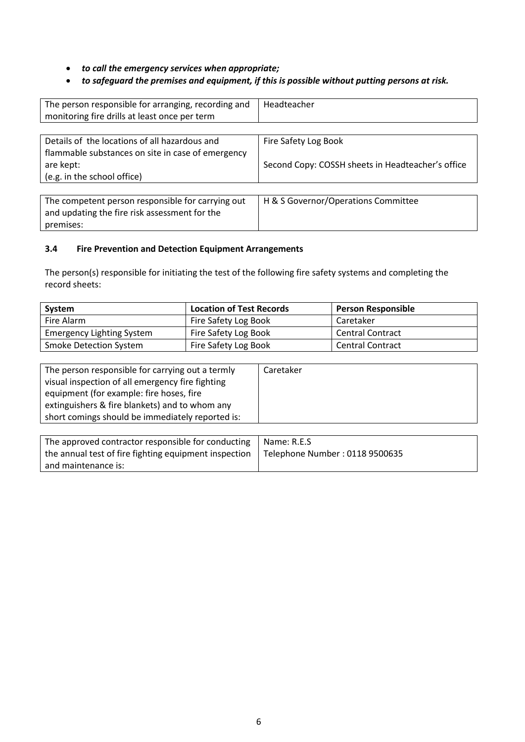*to call the emergency services when appropriate;*

# *to safeguard the premises and equipment, if this is possible without putting persons at risk.*

| The person responsible for arranging, recording and | Headteacher                                       |
|-----------------------------------------------------|---------------------------------------------------|
| monitoring fire drills at least once per term       |                                                   |
|                                                     |                                                   |
| Details of the locations of all hazardous and       | Fire Safety Log Book                              |
| flammable substances on site in case of emergency   |                                                   |
| are kept:                                           | Second Copy: COSSH sheets in Headteacher's office |
| (e.g. in the school office)                         |                                                   |
|                                                     |                                                   |
| The competent person responsible for carrying out   | H & S Governor/Operations Committee               |
| and updating the fire risk assessment for the       |                                                   |
| premises:                                           |                                                   |

## **3.4 Fire Prevention and Detection Equipment Arrangements**

The person(s) responsible for initiating the test of the following fire safety systems and completing the record sheets:

| System                           | <b>Location of Test Records</b> | <b>Person Responsible</b> |
|----------------------------------|---------------------------------|---------------------------|
| Fire Alarm                       | Fire Safety Log Book            | Caretaker                 |
| <b>Emergency Lighting System</b> | Fire Safety Log Book            | <b>Central Contract</b>   |
| <b>Smoke Detection System</b>    | Fire Safety Log Book            | <b>Central Contract</b>   |

| The person responsible for carrying out a termly | Caretaker |
|--------------------------------------------------|-----------|
| visual inspection of all emergency fire fighting |           |
| equipment (for example: fire hoses, fire         |           |
| extinguishers & fire blankets) and to whom any   |           |
| short comings should be immediately reported is: |           |

| The approved contractor responsible for conducting                                      | l Name: R.E.S |
|-----------------------------------------------------------------------------------------|---------------|
| the annual test of fire fighting equipment inspection   Telephone Number : 0118 9500635 |               |
| and maintenance is:                                                                     |               |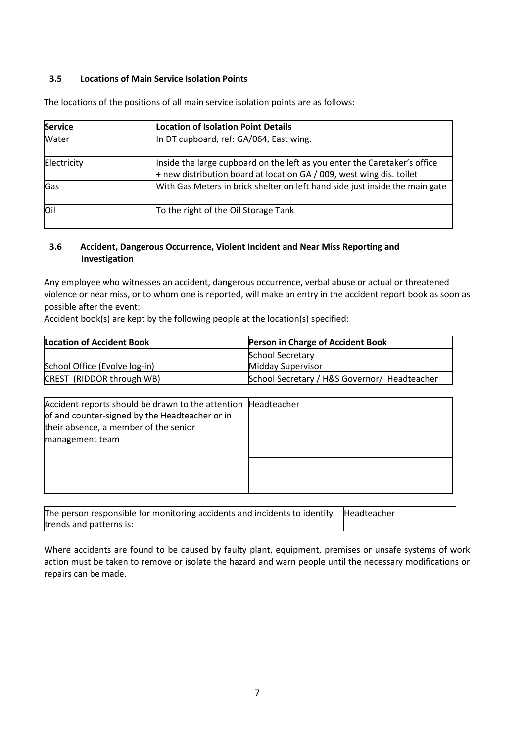## **3.5 Locations of Main Service Isolation Points**

| <b>Service</b> | <b>Location of Isolation Point Details</b>                                                                                                        |
|----------------|---------------------------------------------------------------------------------------------------------------------------------------------------|
| Water          | In DT cupboard, ref: GA/064, East wing.                                                                                                           |
| Electricity    | Inside the large cupboard on the left as you enter the Caretaker's office<br>+ new distribution board at location GA / 009, west wing dis. toilet |
| Gas            | With Gas Meters in brick shelter on left hand side just inside the main gate                                                                      |
| loil           | To the right of the Oil Storage Tank                                                                                                              |

The locations of the positions of all main service isolation points are as follows:

## **3.6 Accident, Dangerous Occurrence, Violent Incident and Near Miss Reporting and Investigation**

Any employee who witnesses an accident, dangerous occurrence, verbal abuse or actual or threatened violence or near miss, or to whom one is reported, will make an entry in the accident report book as soon as possible after the event:

Accident book(s) are kept by the following people at the location(s) specified:

| <b>Location of Accident Book</b> | Person in Charge of Accident Book            |
|----------------------------------|----------------------------------------------|
|                                  | <b>School Secretary</b>                      |
| School Office (Evolve log-in)    | <b>Midday Supervisor</b>                     |
| CREST (RIDDOR through WB)        | School Secretary / H&S Governor/ Headteacher |

| Accident reports should be drawn to the attention Headteacher<br>of and counter-signed by the Headteacher or in<br>their absence, a member of the senior<br>management team |  |
|-----------------------------------------------------------------------------------------------------------------------------------------------------------------------------|--|
|                                                                                                                                                                             |  |

| The person responsible for monitoring accidents and incidents to identify $\mathbb{R}$ Headteacher |  |
|----------------------------------------------------------------------------------------------------|--|
| trends and patterns is:                                                                            |  |

Where accidents are found to be caused by faulty plant, equipment, premises or unsafe systems of work action must be taken to remove or isolate the hazard and warn people until the necessary modifications or repairs can be made.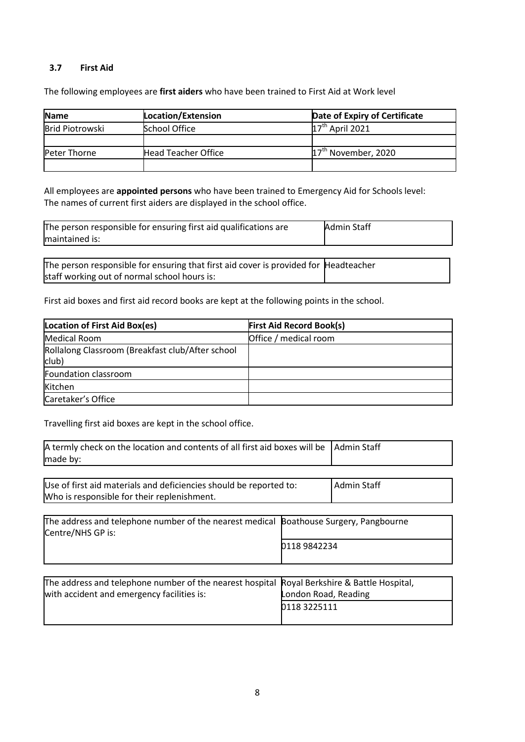#### **3.7 First Aid**

The following employees are **first aiders** who have been trained to First Aid at Work level

| <b>Name</b>            | <b>Location/Extension</b>  | Date of Expiry of Certificate   |
|------------------------|----------------------------|---------------------------------|
| <b>Brid Piotrowski</b> | <b>School Office</b>       | $17th$ April 2021               |
|                        |                            |                                 |
| Peter Thorne           | <b>Head Teacher Office</b> | 17 <sup>th</sup> November, 2020 |
|                        |                            |                                 |

All employees are **appointed persons** who have been trained to Emergency Aid for Schools level: The names of current first aiders are displayed in the school office.

| The person responsible for ensuring first aid qualifications are | <b>Admin Staff</b> |
|------------------------------------------------------------------|--------------------|
| maintained is:                                                   |                    |

The person responsible for ensuring that first aid cover is provided for Headteacher staff working out of normal school hours is:

First aid boxes and first aid record books are kept at the following points in the school.

| Location of First Aid Box(es)                             | <b>First Aid Record Book(s)</b> |
|-----------------------------------------------------------|---------------------------------|
| Medical Room                                              | Office / medical room           |
| Rollalong Classroom (Breakfast club/After school<br>club) |                                 |
| Foundation classroom                                      |                                 |
| Kitchen                                                   |                                 |
| Caretaker's Office                                        |                                 |

Travelling first aid boxes are kept in the school office.

| A termly check on the location and contents of all first aid boxes will be<br>made by:                            |                                     | <b>Admin Staff</b>                 |
|-------------------------------------------------------------------------------------------------------------------|-------------------------------------|------------------------------------|
| Use of first aid materials and deficiencies should be reported to:<br>Who is responsible for their replenishment. |                                     | <b>Admin Staff</b>                 |
| The address and telephone number of the nearest medical<br>Centre/NHS GP is:                                      | 0118 9842234                        | Boathouse Surgery, Pangbourne      |
| The address and telephone number of the nearest hospital<br>with accident and emergency facilities is:            | ondon Road, Reading<br>0118 3225111 | Royal Berkshire & Battle Hospital, |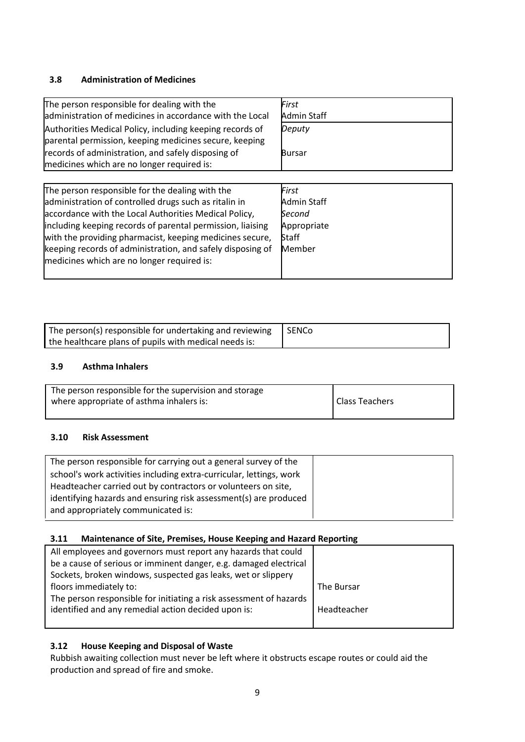# **3.8 Administration of Medicines**

| The person responsible for dealing with the              | First              |
|----------------------------------------------------------|--------------------|
| administration of medicines in accordance with the Local | <b>Admin Staff</b> |
| Authorities Medical Policy, including keeping records of | Deputy             |
| parental permission, keeping medicines secure, keeping   |                    |
| records of administration, and safely disposing of       | <b>Bursar</b>      |
| medicines which are no longer required is:               |                    |

| The person responsible for the dealing with the            | First              |
|------------------------------------------------------------|--------------------|
| administration of controlled drugs such as ritalin in      | <b>Admin Staff</b> |
| accordance with the Local Authorities Medical Policy,      | Second             |
| including keeping records of parental permission, liaising | Appropriate        |
| with the providing pharmacist, keeping medicines secure,   | Staff              |
| keeping records of administration, and safely disposing of | Member             |
| medicines which are no longer required is:                 |                    |
|                                                            |                    |

| The person(s) responsible for undertaking and reviewing $\Box$ SENCo |  |
|----------------------------------------------------------------------|--|
| the healthcare plans of pupils with medical needs is:                |  |

## **3.9 Asthma Inhalers**

| The person responsible for the supervision and storage |                       |
|--------------------------------------------------------|-----------------------|
| where appropriate of asthma inhalers is:               | <b>Class Teachers</b> |

## **3.10 Risk Assessment**

| The person responsible for carrying out a general survey of the     |
|---------------------------------------------------------------------|
| school's work activities including extra-curricular, lettings, work |
| Headteacher carried out by contractors or volunteers on site,       |
| identifying hazards and ensuring risk assessment(s) are produced    |
| and appropriately communicated is:                                  |

# **3.11 Maintenance of Site, Premises, House Keeping and Hazard Reporting**

| All employees and governors must report any hazards that could     |             |
|--------------------------------------------------------------------|-------------|
| be a cause of serious or imminent danger, e.g. damaged electrical  |             |
| Sockets, broken windows, suspected gas leaks, wet or slippery      |             |
| floors immediately to:                                             | The Bursar  |
| The person responsible for initiating a risk assessment of hazards |             |
| identified and any remedial action decided upon is:                | Headteacher |
|                                                                    |             |

# **3.12 House Keeping and Disposal of Waste**

Rubbish awaiting collection must never be left where it obstructs escape routes or could aid the production and spread of fire and smoke.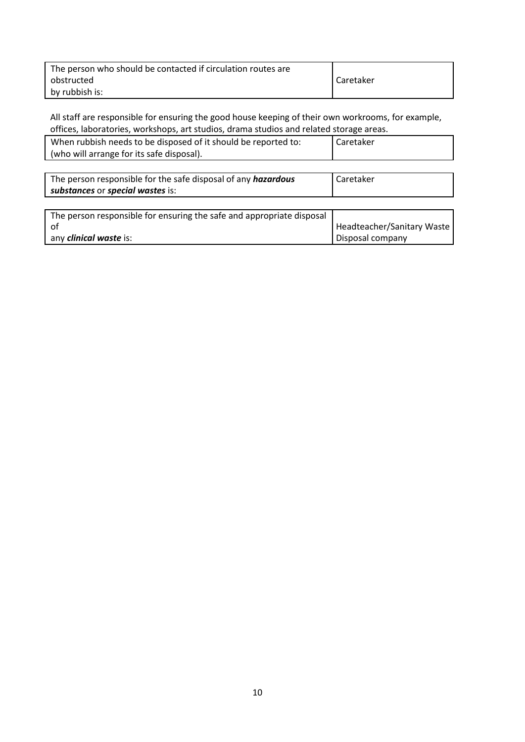| The person who should be contacted if circulation routes are |           |
|--------------------------------------------------------------|-----------|
| obstructed                                                   | Caretaker |
| by rubbish is:                                               |           |

All staff are responsible for ensuring the good house keeping of their own workrooms, for example, offices, laboratories, workshops, art studios, drama studios and related storage areas.

| When rubbish needs to be disposed of it should be reported to: | I Caretaker |
|----------------------------------------------------------------|-------------|
| (who will arrange for its safe disposal).                      |             |

| The person responsible for the safe disposal of any <i>hazardous</i> | Caretaker |
|----------------------------------------------------------------------|-----------|
| substances or special wastes is:                                     |           |
|                                                                      |           |

| The person responsible for ensuring the safe and appropriate disposal |                            |
|-----------------------------------------------------------------------|----------------------------|
|                                                                       | Headteacher/Sanitary Waste |
| any <b><i>clinical waste</i></b> is:                                  | Disposal company           |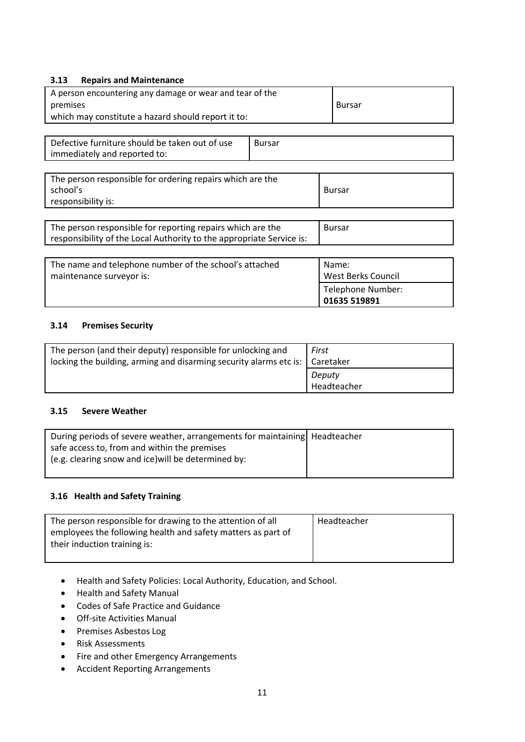## **3.13 Repairs and Maintenance**

| A person encountering any damage or wear and tear of the<br>premises<br>which may constitute a hazard should report it to: |               | <b>Bursar</b> |
|----------------------------------------------------------------------------------------------------------------------------|---------------|---------------|
| Defective furniture should be taken out of use<br>immediately and reported to:                                             | <b>Bursar</b> |               |
| The person responsible for ordering repairs which are the                                                                  |               |               |

| The person responsible for ordering repairs which are the |        |
|-----------------------------------------------------------|--------|
| school's                                                  | Bursar |
| responsibility is:                                        |        |
|                                                           |        |
|                                                           |        |

| The person responsible for reporting repairs which are the           | Bursar |
|----------------------------------------------------------------------|--------|
| responsibility of the Local Authority to the appropriate Service is: |        |

| The name and telephone number of the school's attached | Name:                     |
|--------------------------------------------------------|---------------------------|
| maintenance surveyor is:                               | <b>West Berks Council</b> |
|                                                        | Telephone Number:         |
|                                                        | 01635 519891              |

# **3.14 Premises Security**

| The person (and their deputy) responsible for unlocking and<br>locking the building, arming and disarming security alarms etc is:   Caretaker | First                 |
|-----------------------------------------------------------------------------------------------------------------------------------------------|-----------------------|
|                                                                                                                                               | Deputy<br>Headteacher |

# **3.15 Severe Weather**

| During periods of severe weather, arrangements for maintaining   Headteacher |  |
|------------------------------------------------------------------------------|--|
| safe access to, from and within the premises                                 |  |
| (e.g. clearing snow and ice) will be determined by:                          |  |
|                                                                              |  |

# **3.16 Health and Safety Training**

| The person responsible for drawing to the attention of all<br>employees the following health and safety matters as part of | Headteacher |
|----------------------------------------------------------------------------------------------------------------------------|-------------|
| their induction training is:                                                                                               |             |

- Health and Safety Policies: Local Authority, Education, and School.
- Health and Safety Manual
- Codes of Safe Practice and Guidance
- Off-site Activities Manual
- Premises Asbestos Log
- Risk Assessments
- Fire and other Emergency Arrangements
- Accident Reporting Arrangements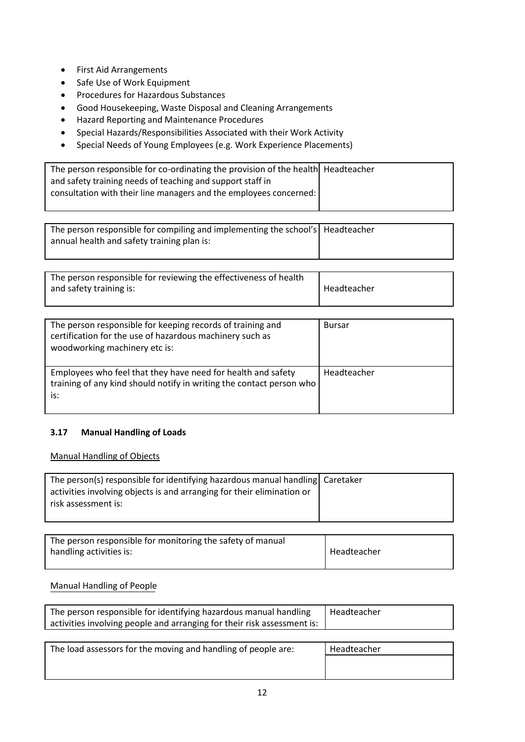- First Aid Arrangements
- Safe Use of Work Equipment
- Procedures for Hazardous Substances
- Good Housekeeping, Waste Disposal and Cleaning Arrangements
- Hazard Reporting and Maintenance Procedures
- Special Hazards/Responsibilities Associated with their Work Activity
- Special Needs of Young Employees (e.g. Work Experience Placements)

| The person responsible for co-ordinating the provision of the health Headteacher |  |
|----------------------------------------------------------------------------------|--|
| and safety training needs of teaching and support staff in                       |  |
| consultation with their line managers and the employees concerned:               |  |
|                                                                                  |  |

| The person responsible for compiling and implementing the school's   Headteacher |  |
|----------------------------------------------------------------------------------|--|
| annual health and safety training plan is:                                       |  |
|                                                                                  |  |

| The person responsible for reviewing the effectiveness of health |             |
|------------------------------------------------------------------|-------------|
| and safety training is:                                          | Headteacher |
|                                                                  |             |

| The person responsible for keeping records of training and<br>certification for the use of hazardous machinery such as<br>woodworking machinery etc is: | <b>Bursar</b> |
|---------------------------------------------------------------------------------------------------------------------------------------------------------|---------------|
| Employees who feel that they have need for health and safety<br>training of any kind should notify in writing the contact person who<br>is:             | Headteacher   |

# **3.17 Manual Handling of Loads**

## Manual Handling of Objects

| The person(s) responsible for identifying hazardous manual handling Caretaker<br>activities involving objects is and arranging for their elimination or |  |
|---------------------------------------------------------------------------------------------------------------------------------------------------------|--|
| risk assessment is:                                                                                                                                     |  |

| The person responsible for monitoring the safety of manual<br>handling activities is: | Headteacher |
|---------------------------------------------------------------------------------------|-------------|
|                                                                                       |             |

# Manual Handling of People

| The person responsible for identifying hazardous manual handling        | Headteacher |
|-------------------------------------------------------------------------|-------------|
| activities involving people and arranging for their risk assessment is: |             |

| The load assessors for the moving and handling of people are: | Headteacher |
|---------------------------------------------------------------|-------------|
|                                                               |             |
|                                                               |             |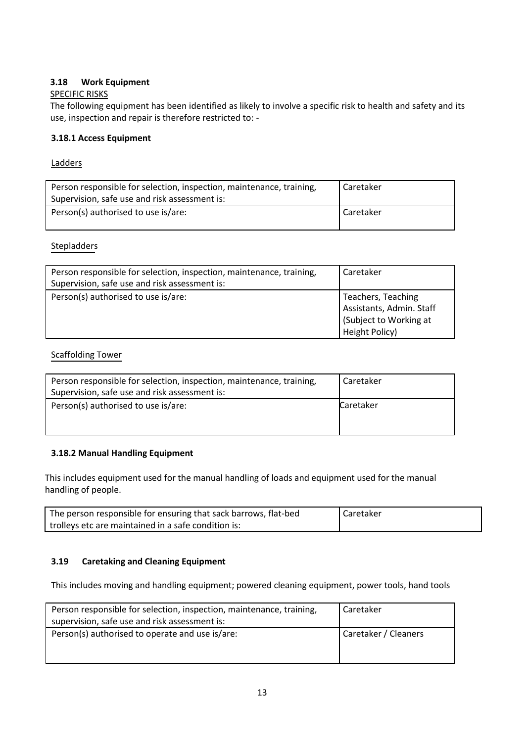# **3.18 Work Equipment**

## SPECIFIC RISKS

The following equipment has been identified as likely to involve a specific risk to health and safety and its use, inspection and repair is therefore restricted to: -

## **3.18.1 Access Equipment**

## Ladders

| Person responsible for selection, inspection, maintenance, training,<br>Supervision, safe use and risk assessment is: | Caretaker |
|-----------------------------------------------------------------------------------------------------------------------|-----------|
| Person(s) authorised to use is/are:                                                                                   | Caretaker |

# Stepladders

| Person responsible for selection, inspection, maintenance, training,<br>Supervision, safe use and risk assessment is: | Caretaker                                                                                 |
|-----------------------------------------------------------------------------------------------------------------------|-------------------------------------------------------------------------------------------|
| Person(s) authorised to use is/are:                                                                                   | Teachers, Teaching<br>Assistants, Admin. Staff<br>Subject to Working at<br>Height Policy) |

# Scaffolding Tower

| Person responsible for selection, inspection, maintenance, training,<br>Supervision, safe use and risk assessment is: | Caretaker |
|-----------------------------------------------------------------------------------------------------------------------|-----------|
| Person(s) authorised to use is/are:                                                                                   | Caretaker |

# **3.18.2 Manual Handling Equipment**

This includes equipment used for the manual handling of loads and equipment used for the manual handling of people.

| The person responsible for ensuring that sack barrows, flat-bed | I Caretaker |
|-----------------------------------------------------------------|-------------|
| trolleys etc are maintained in a safe condition is:             |             |

## **3.19 Caretaking and Cleaning Equipment**

This includes moving and handling equipment; powered cleaning equipment, power tools, hand tools

| Person responsible for selection, inspection, maintenance, training,<br>supervision, safe use and risk assessment is: | Caretaker            |
|-----------------------------------------------------------------------------------------------------------------------|----------------------|
| Person(s) authorised to operate and use is/are:                                                                       | Caretaker / Cleaners |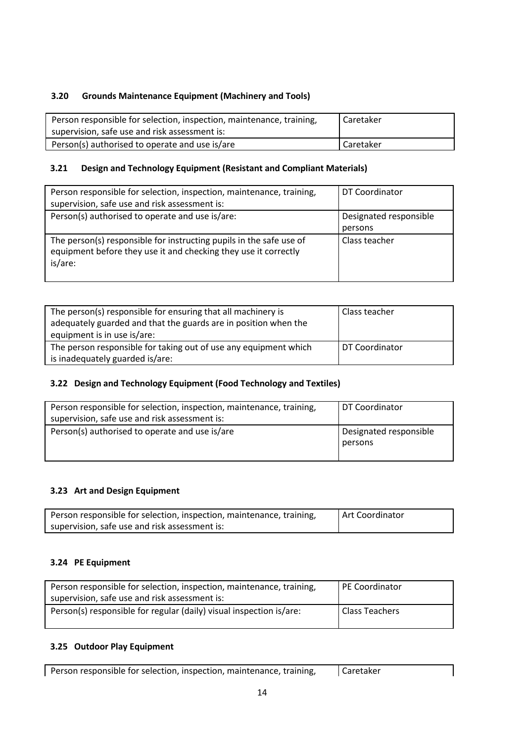# **3.20 Grounds Maintenance Equipment (Machinery and Tools)**

| Person responsible for selection, inspection, maintenance, training,<br>supervision, safe use and risk assessment is: | l Caretaker      |
|-----------------------------------------------------------------------------------------------------------------------|------------------|
| Person(s) authorised to operate and use is/are                                                                        | <b>Caretaker</b> |

# **3.21 Design and Technology Equipment (Resistant and Compliant Materials)**

| Person responsible for selection, inspection, maintenance, training,<br>supervision, safe use and risk assessment is:                             | DT Coordinator                    |
|---------------------------------------------------------------------------------------------------------------------------------------------------|-----------------------------------|
| Person(s) authorised to operate and use is/are:                                                                                                   | Designated responsible<br>persons |
| The person(s) responsible for instructing pupils in the safe use of<br>equipment before they use it and checking they use it correctly<br>is/are: | Class teacher                     |

| The person(s) responsible for ensuring that all machinery is<br>adequately guarded and that the guards are in position when the<br>equipment is in use is/are: | Class teacher  |
|----------------------------------------------------------------------------------------------------------------------------------------------------------------|----------------|
| The person responsible for taking out of use any equipment which                                                                                               | DT Coordinator |
| is inadequately guarded is/are:                                                                                                                                |                |

# **3.22 Design and Technology Equipment (Food Technology and Textiles)**

| Person responsible for selection, inspection, maintenance, training,<br>supervision, safe use and risk assessment is: | DT Coordinator                    |
|-----------------------------------------------------------------------------------------------------------------------|-----------------------------------|
| Person(s) authorised to operate and use is/are                                                                        | Designated responsible<br>persons |

# **3.23 Art and Design Equipment**

| Person responsible for selection, inspection, maintenance, training, | Art Coordinator |
|----------------------------------------------------------------------|-----------------|
| supervision, safe use and risk assessment is:                        |                 |

# **3.24 PE Equipment**

| Person responsible for selection, inspection, maintenance, training,<br>supervision, safe use and risk assessment is: | <b>PE Coordinator</b> |
|-----------------------------------------------------------------------------------------------------------------------|-----------------------|
| Person(s) responsible for regular (daily) visual inspection is/are:                                                   | <b>Class Teachers</b> |

# **3.25 Outdoor Play Equipment**

| Person responsible for selection, inspection, maintenance, training,<br>Caretaker |
|-----------------------------------------------------------------------------------|
|-----------------------------------------------------------------------------------|

٦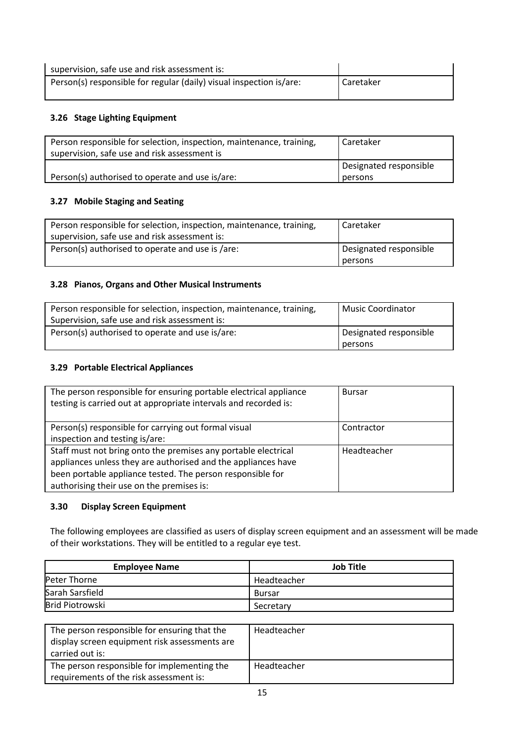| supervision, safe use and risk assessment is:                       |           |
|---------------------------------------------------------------------|-----------|
| Person(s) responsible for regular (daily) visual inspection is/are: | Caretaker |

# **3.26 Stage Lighting Equipment**

| Person responsible for selection, inspection, maintenance, training,<br>supervision, safe use and risk assessment is | Caretaker              |
|----------------------------------------------------------------------------------------------------------------------|------------------------|
|                                                                                                                      | Designated responsible |
| Person(s) authorised to operate and use is/are:                                                                      | persons                |

# **3.27 Mobile Staging and Seating**

| Person responsible for selection, inspection, maintenance, training,<br>supervision, safe use and risk assessment is: | Caretaker                         |
|-----------------------------------------------------------------------------------------------------------------------|-----------------------------------|
| Person(s) authorised to operate and use is /are:                                                                      | Designated responsible<br>persons |

## **3.28 Pianos, Organs and Other Musical Instruments**

| Person responsible for selection, inspection, maintenance, training,<br>Supervision, safe use and risk assessment is: | Music Coordinator                 |
|-----------------------------------------------------------------------------------------------------------------------|-----------------------------------|
| Person(s) authorised to operate and use is/are:                                                                       | Designated responsible<br>persons |

# **3.29 Portable Electrical Appliances**

| The person responsible for ensuring portable electrical appliance<br>testing is carried out at appropriate intervals and recorded is: | <b>Bursar</b> |
|---------------------------------------------------------------------------------------------------------------------------------------|---------------|
| Person(s) responsible for carrying out formal visual                                                                                  | Contractor    |
| inspection and testing is/are:                                                                                                        |               |
| Staff must not bring onto the premises any portable electrical                                                                        | Headteacher   |
| appliances unless they are authorised and the appliances have                                                                         |               |
| been portable appliance tested. The person responsible for                                                                            |               |
| authorising their use on the premises is:                                                                                             |               |

## **3.30 Display Screen Equipment**

The following employees are classified as users of display screen equipment and an assessment will be made of their workstations. They will be entitled to a regular eye test.

| <b>Employee Name</b> | Job Title   |
|----------------------|-------------|
| Peter Thorne         | Headteacher |
| Sarah Sarsfield      | Bursar      |
| Brid Piotrowski      | Secretary   |

| The person responsible for ensuring that the<br>display screen equipment risk assessments are<br>carried out is: | Headteacher |
|------------------------------------------------------------------------------------------------------------------|-------------|
| The person responsible for implementing the<br>requirements of the risk assessment is:                           | Headteacher |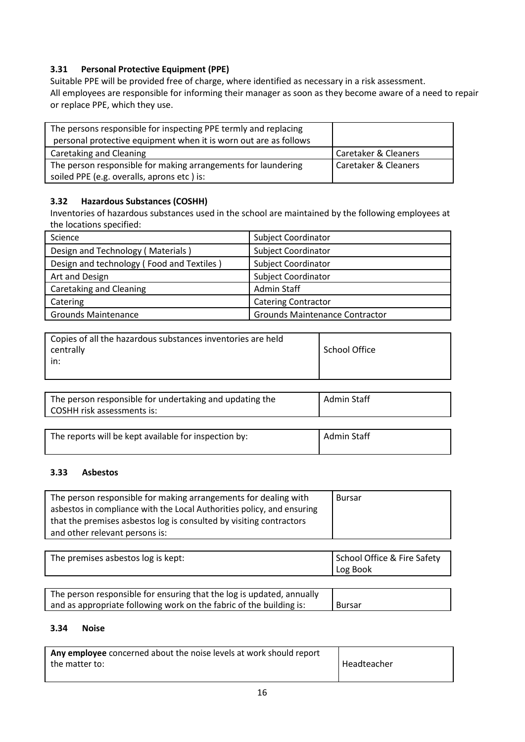# **3.31 Personal Protective Equipment (PPE)**

Suitable PPE will be provided free of charge, where identified as necessary in a risk assessment. All employees are responsible for informing their manager as soon as they become aware of a need to repair or replace PPE, which they use.

| The persons responsible for inspecting PPE termly and replacing<br>personal protective equipment when it is worn out are as follows |                                 |
|-------------------------------------------------------------------------------------------------------------------------------------|---------------------------------|
| Caretaking and Cleaning                                                                                                             | <b>Caretaker &amp; Cleaners</b> |
| The person responsible for making arrangements for laundering                                                                       | <b>Caretaker &amp; Cleaners</b> |
| soiled PPE (e.g. overalls, aprons etc) is:                                                                                          |                                 |

# **3.32 Hazardous Substances (COSHH)**

Inventories of hazardous substances used in the school are maintained by the following employees at the locations specified:

| Science                                   | Subject Coordinator                   |
|-------------------------------------------|---------------------------------------|
| Design and Technology (Materials)         | <b>Subject Coordinator</b>            |
| Design and technology (Food and Textiles) | <b>Subject Coordinator</b>            |
| Art and Design                            | <b>Subject Coordinator</b>            |
| Caretaking and Cleaning                   | Admin Staff                           |
| Catering                                  | <b>Catering Contractor</b>            |
| <b>Grounds Maintenance</b>                | <b>Grounds Maintenance Contractor</b> |

| Copies of all the hazardous substances inventories are held<br>School Office<br>centrally<br>in: |  |  |  |
|--------------------------------------------------------------------------------------------------|--|--|--|
|--------------------------------------------------------------------------------------------------|--|--|--|

| The person responsible for undertaking and updating the<br>COSHH risk assessments is: | Admin Staff |
|---------------------------------------------------------------------------------------|-------------|
|                                                                                       |             |

| The reports will be kept available for inspection by: | Admin Staff |
|-------------------------------------------------------|-------------|

# **3.33 Asbestos**

| The person responsible for making arrangements for dealing with        | <b>Bursar</b> |
|------------------------------------------------------------------------|---------------|
| asbestos in compliance with the Local Authorities policy, and ensuring |               |
| that the premises asbestos log is consulted by visiting contractors    |               |
| and other relevant persons is:                                         |               |

| The premises asbestos log is kept: | School Office & Fire Safety<br>Log Book |
|------------------------------------|-----------------------------------------|
|------------------------------------|-----------------------------------------|

| The person responsible for ensuring that the log is updated, annually |        |
|-----------------------------------------------------------------------|--------|
| and as appropriate following work on the fabric of the building is:   | Bursar |

# **3.34 Noise**

| Any employee concerned about the noise levels at work should report |             |
|---------------------------------------------------------------------|-------------|
| the matter to:                                                      | Headteacher |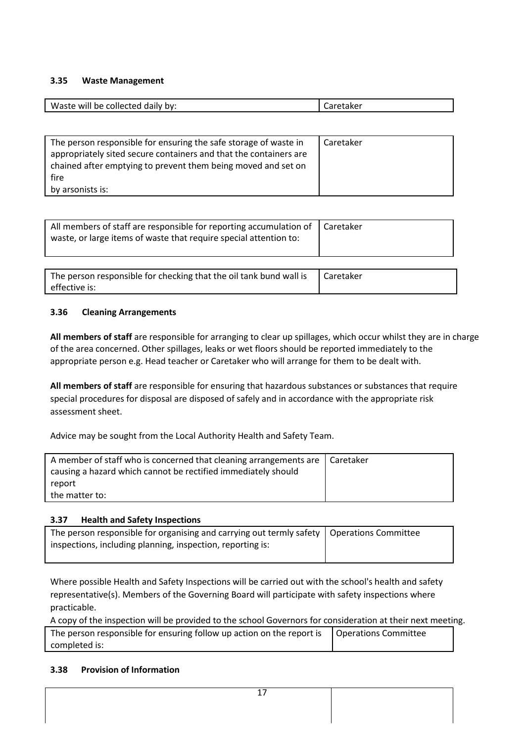## **3.35 Waste Management**

| Waste<br>bv:<br>יווב<br>pe d<br>م م<br>זפווח׳<br>WII<br>. . | . |
|-------------------------------------------------------------|---|
|                                                             |   |

| The person responsible for ensuring the safe storage of waste in<br>appropriately sited secure containers and that the containers are | Caretaker |
|---------------------------------------------------------------------------------------------------------------------------------------|-----------|
| chained after emptying to prevent them being moved and set on                                                                         |           |
| fire                                                                                                                                  |           |
| by arsonists is:                                                                                                                      |           |

| All members of staff are responsible for reporting accumulation of<br>waste, or large items of waste that require special attention to: | Caretaker |
|-----------------------------------------------------------------------------------------------------------------------------------------|-----------|
|                                                                                                                                         |           |
| The person responsible for checking that the oil tank bund wall is                                                                      | Caretaker |

# **3.36 Cleaning Arrangements**

effective is:

**All members of staff** are responsible for arranging to clear up spillages, which occur whilst they are in charge of the area concerned. Other spillages, leaks or wet floors should be reported immediately to the appropriate person e.g. Head teacher or Caretaker who will arrange for them to be dealt with.

**All members of staff** are responsible for ensuring that hazardous substances or substances that require special procedures for disposal are disposed of safely and in accordance with the appropriate risk assessment sheet.

Advice may be sought from the Local Authority Health and Safety Team.

| A member of staff who is concerned that cleaning arrangements are   Caretaker |  |
|-------------------------------------------------------------------------------|--|
| causing a hazard which cannot be rectified immediately should                 |  |
| report                                                                        |  |
| the matter to:                                                                |  |

## **3.37 Health and Safety Inspections**

| The person responsible for organising and carrying out termly safety   Operations Committee |  |
|---------------------------------------------------------------------------------------------|--|
| inspections, including planning, inspection, reporting is:                                  |  |
|                                                                                             |  |

Where possible Health and Safety Inspections will be carried out with the school's health and safety representative(s). Members of the Governing Board will participate with safety inspections where practicable.

A copy of the inspection will be provided to the school Governors for consideration at their next meeting.

| The person responsible for ensuring follow up action on the report is $\Box$ Operations Committee |  |
|---------------------------------------------------------------------------------------------------|--|
| completed is:                                                                                     |  |

## **3.38 Provision of Information**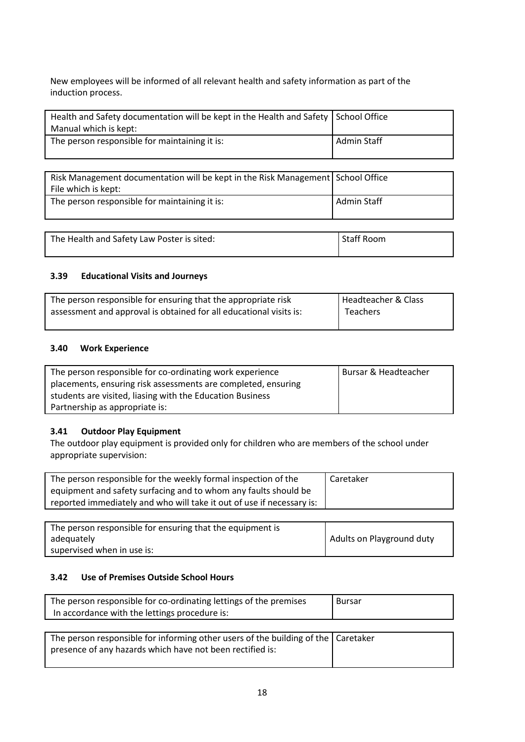New employees will be informed of all relevant health and safety information as part of the induction process.

| Health and Safety documentation will be kept in the Health and Safety School Office |             |
|-------------------------------------------------------------------------------------|-------------|
| Manual which is kept:                                                               |             |
| The person responsible for maintaining it is:                                       | Admin Staff |

| Risk Management documentation will be kept in the Risk Management School Office<br>File which is kept: |                   |
|--------------------------------------------------------------------------------------------------------|-------------------|
| The person responsible for maintaining it is:                                                          | Admin Staff       |
|                                                                                                        |                   |
| The Health and Safety Law Poster is sited:                                                             | <b>Staff Room</b> |

# **3.39 Educational Visits and Journeys**

| The person responsible for ensuring that the appropriate risk      | Headteacher & Class |
|--------------------------------------------------------------------|---------------------|
| assessment and approval is obtained for all educational visits is: | Teachers            |
|                                                                    |                     |

## **3.40 Work Experience**

| The person responsible for co-ordinating work experience      | Bursar & Headteacher |
|---------------------------------------------------------------|----------------------|
| placements, ensuring risk assessments are completed, ensuring |                      |
| students are visited, liasing with the Education Business     |                      |
| Partnership as appropriate is:                                |                      |

## **3.41 Outdoor Play Equipment**

The outdoor play equipment is provided only for children who are members of the school under appropriate supervision:

| The person responsible for the weekly formal inspection of the        | Caretaker |
|-----------------------------------------------------------------------|-----------|
| equipment and safety surfacing and to whom any faults should be       |           |
| reported immediately and who will take it out of use if necessary is: |           |

| The person responsible for ensuring that the equipment is |                           |
|-----------------------------------------------------------|---------------------------|
| adequately                                                | Adults on Playground duty |
| supervised when in use is:                                |                           |

# **3.42 Use of Premises Outside School Hours**

| The person responsible for co-ordinating lettings of the premises | Bursar |
|-------------------------------------------------------------------|--------|
| In accordance with the lettings procedure is:                     |        |
|                                                                   |        |

| The person responsible for informing other users of the building of the   Caretaker |  |
|-------------------------------------------------------------------------------------|--|
| presence of any hazards which have not been rectified is:                           |  |
|                                                                                     |  |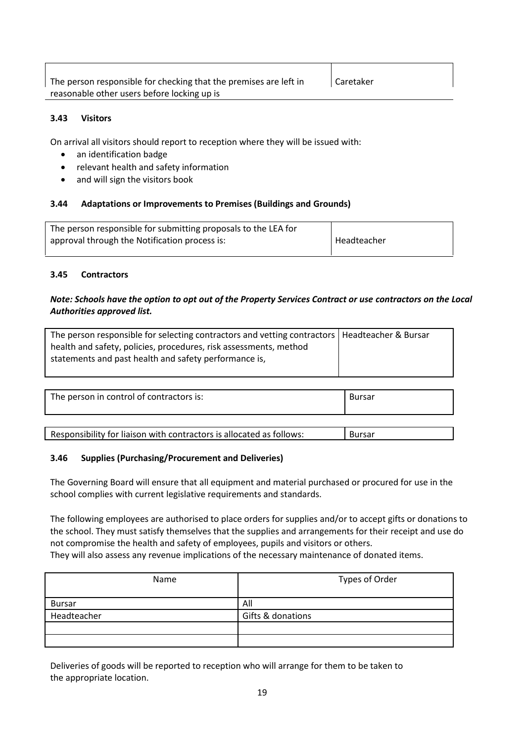| The person responsible for checking that the premises are left in | Caretaker |
|-------------------------------------------------------------------|-----------|
| reasonable other users before locking up is                       |           |

## **3.43 Visitors**

On arrival all visitors should report to reception where they will be issued with:

- an identification badge
- relevant health and safety information
- and will sign the visitors book

## **3.44 Adaptations or Improvements to Premises (Buildings and Grounds)**

| The person responsible for submitting proposals to the LEA for |             |
|----------------------------------------------------------------|-------------|
| approval through the Notification process is:                  | Headteacher |
|                                                                |             |

## **3.45 Contractors**

## *Note: Schools have the option to opt out of the Property Services Contract or use contractors on the Local Authorities approved list.*

| The person responsible for selecting contractors and vetting contractors   Headteacher & Bursar<br>health and safety, policies, procedures, risk assessments, method<br>statements and past health and safety performance is, |  |
|-------------------------------------------------------------------------------------------------------------------------------------------------------------------------------------------------------------------------------|--|
|                                                                                                                                                                                                                               |  |

| The person in control of contractors is:<br>Bursar |  |
|----------------------------------------------------|--|
|----------------------------------------------------|--|

| Responsibility for liaison with contractors is allocated as follows: | <b>Bursar</b> |
|----------------------------------------------------------------------|---------------|
|                                                                      |               |

## **3.46 Supplies (Purchasing/Procurement and Deliveries)**

The Governing Board will ensure that all equipment and material purchased or procured for use in the school complies with current legislative requirements and standards.

The following employees are authorised to place orders for supplies and/or to accept gifts or donations to the school. They must satisfy themselves that the supplies and arrangements for their receipt and use do not compromise the health and safety of employees, pupils and visitors or others. They will also assess any revenue implications of the necessary maintenance of donated items.

| Name          | Types of Order    |
|---------------|-------------------|
| <b>Bursar</b> | All               |
| Headteacher   | Gifts & donations |
|               |                   |
|               |                   |

Deliveries of goods will be reported to reception who will arrange for them to be taken to the appropriate location.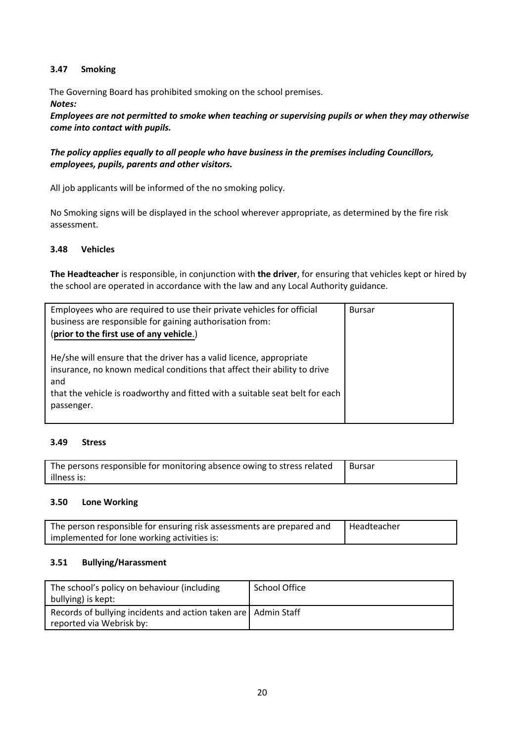# **3.47 Smoking**

 The Governing Board has prohibited smoking on the school premises. *Notes:*

*Employees are not permitted to smoke when teaching or supervising pupils or when they may otherwise come into contact with pupils.*

*The policy applies equally to all people who have business in the premises including Councillors, employees, pupils, parents and other visitors.*

All job applicants will be informed of the no smoking policy.

No Smoking signs will be displayed in the school wherever appropriate, as determined by the fire risk assessment.

## **3.48 Vehicles**

**The Headteacher** is responsible, in conjunction with **the driver**, for ensuring that vehicles kept or hired by the school are operated in accordance with the law and any Local Authority guidance.

| Employees who are required to use their private vehicles for official<br>business are responsible for gaining authorisation from:<br>(prior to the first use of any vehicle.)                                                                         | <b>Bursar</b> |
|-------------------------------------------------------------------------------------------------------------------------------------------------------------------------------------------------------------------------------------------------------|---------------|
| He/she will ensure that the driver has a valid licence, appropriate<br>insurance, no known medical conditions that affect their ability to drive<br>and<br>that the vehicle is roadworthy and fitted with a suitable seat belt for each<br>passenger. |               |

## **3.49 Stress**

| The persons responsible for monitoring absence owing to stress related | l Bursar |
|------------------------------------------------------------------------|----------|
| illness is:                                                            |          |

## **3.50 Lone Working**

| The person responsible for ensuring risk assessments are prepared and | l Headteacher |
|-----------------------------------------------------------------------|---------------|
| implemented for lone working activities is:                           |               |

## **3.51 Bullying/Harassment**

| The school's policy on behaviour (including<br>bullying) is kept: | School Office |
|-------------------------------------------------------------------|---------------|
| Records of bullying incidents and action taken are   Admin Staff  |               |
| reported via Webrisk by:                                          |               |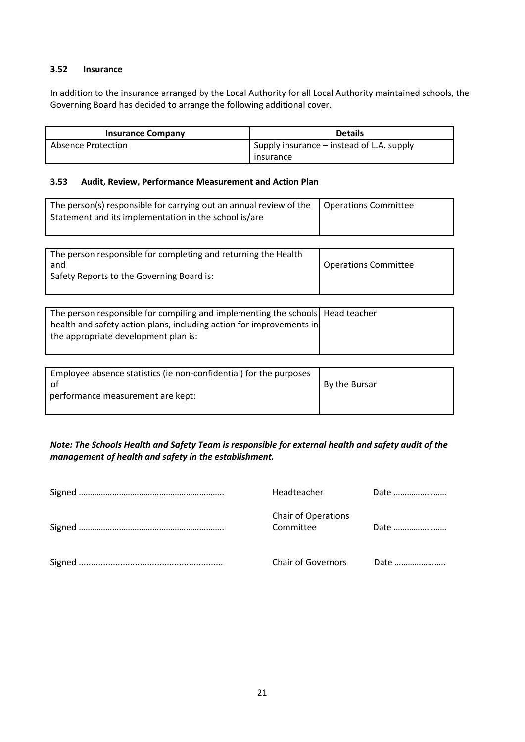## **3.52 Insurance**

In addition to the insurance arranged by the Local Authority for all Local Authority maintained schools, the Governing Board has decided to arrange the following additional cover.

| <b>Insurance Company</b> | <b>Details</b>                            |  |
|--------------------------|-------------------------------------------|--|
| Absence Protection       | Supply insurance – instead of L.A. supply |  |
|                          | insurance                                 |  |

#### **3.53 Audit, Review, Performance Measurement and Action Plan**

| The person(s) responsible for carrying out an annual review of the<br>Statement and its implementation in the school is/are | <b>Operations Committee</b> |
|-----------------------------------------------------------------------------------------------------------------------------|-----------------------------|
|                                                                                                                             |                             |
|                                                                                                                             |                             |
| The person responsible for completing and returning the Health<br>and<br>Safety Reports to the Governing Board is:          | <b>Operations Committee</b> |
|                                                                                                                             |                             |

| The person responsible for compiling and implementing the schools   Head teacher<br>health and safety action plans, including action for improvements in<br>the appropriate development plan is: |  |
|--------------------------------------------------------------------------------------------------------------------------------------------------------------------------------------------------|--|
|                                                                                                                                                                                                  |  |

# *Note: The Schools Health and Safety Team is responsible for external health and safety audit of the management of health and safety in the establishment.*

| Headteacher                             | Date |
|-----------------------------------------|------|
| <b>Chair of Operations</b><br>Committee | Date |
| Chair of Governors                      | Date |